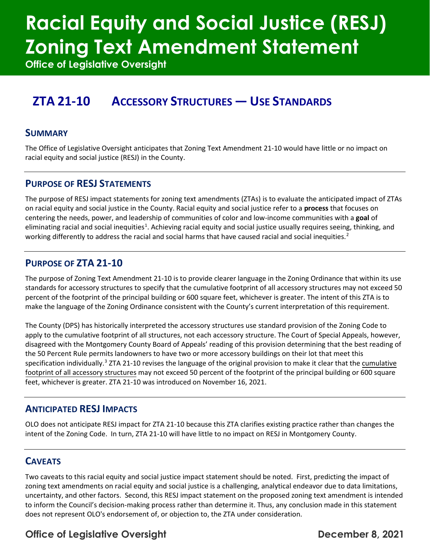# **Racial Equity and Social Justice (RESJ) Zoning Text Amendment Statement**

**Office of Legislative Oversight**

## **ZTA 21-10 ACCESSORY STRUCTURES — USE STANDARDS**

#### **SUMMARY**

The Office of Legislative Oversight anticipates that Zoning Text Amendment 21-10 would have little or no impact on racial equity and social justice (RESJ) in the County.

#### **PURPOSE OF RESJ STATEMENTS**

The purpose of RESJ impact statements for zoning text amendments (ZTAs) is to evaluate the anticipated impact of ZTAs on racial equity and social justice in the County. Racial equity and social justice refer to a **process** that focuses on centering the needs, power, and leadership of communities of color and low-income communities with a **goal** of eliminating racial and social inequities<sup>[1](#page-1-0)</sup>. Achieving racial equity and social justice usually requires seeing, thinking, and working differently to address the racial and social harms that have caused racial and social inequities.<sup>[2](#page-1-1)</sup>

#### **PURPOSE OF ZTA 21-10**

The purpose of Zoning Text Amendment 21-10 is to provide clearer language in the Zoning Ordinance that within its use standards for accessory structures to specify that the cumulative footprint of all accessory structures may not exceed 50 percent of the footprint of the principal building or 600 square feet, whichever is greater. The intent of this ZTA is to make the language of the Zoning Ordinance consistent with the County's current interpretation of this requirement.

The County (DPS) has historically interpreted the accessory structures use standard provision of the Zoning Code to apply to the cumulative footprint of all structures, not each accessory structure. The Court of Special Appeals, however, disagreed with the Montgomery County Board of Appeals' reading of this provision determining that the best reading of the 50 Percent Rule permits landowners to have two or more accessory buildings on their lot that meet this specification individually.<sup>[3](#page-1-2)</sup> ZTA 21-10 revises the language of the original provision to make it clear that the cumulative footprint of all accessory structures may not exceed 50 percent of the footprint of the principal building or 600 square feet, whichever is greater. ZTA 21-10 was introduced on November 16, 2021.

#### **ANTICIPATED RESJ IMPACTS**

OLO does not anticipate RESJ impact for ZTA 21-10 because this ZTA clarifies existing practice rather than changes the intent of the Zoning Code. In turn, ZTA 21-10 will have little to no impact on RESJ in Montgomery County.

#### **CAVEATS**

Two caveats to this racial equity and social justice impact statement should be noted. First, predicting the impact of zoning text amendments on racial equity and social justice is a challenging, analytical endeavor due to data limitations, uncertainty, and other factors. Second, this RESJ impact statement on the proposed zoning text amendment is intended to inform the Council's decision-making process rather than determine it. Thus, any conclusion made in this statement does not represent OLO's endorsement of, or objection to, the ZTA under consideration.

### **Office of Legislative Oversight Channel Control Control Channel December 8, 2021**